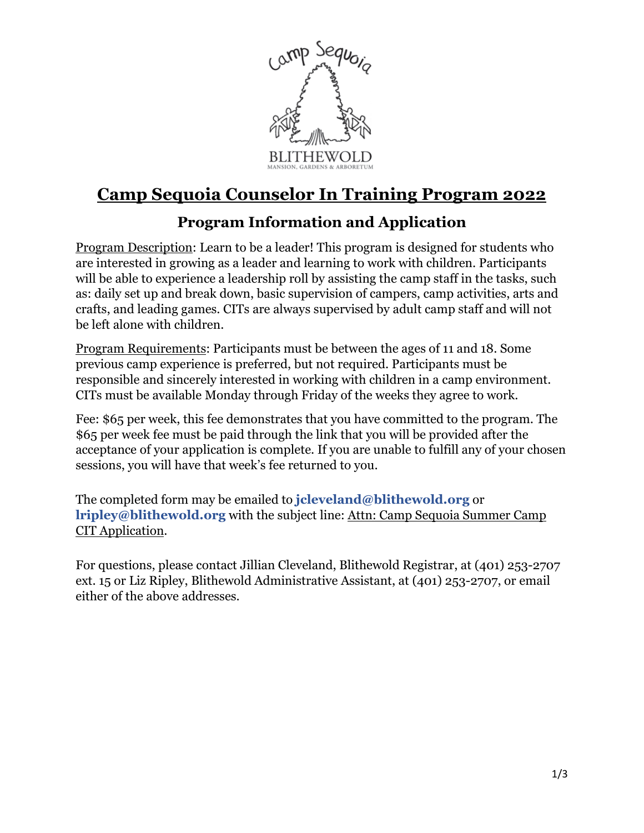

# **Camp Sequoia Counselor In Training Program 2022**

### **Program Information and Application**

Program Description: Learn to be a leader! This program is designed for students who are interested in growing as a leader and learning to work with children. Participants will be able to experience a leadership roll by assisting the camp staff in the tasks, such as: daily set up and break down, basic supervision of campers, camp activities, arts and crafts, and leading games. CITs are always supervised by adult camp staff and will not be left alone with children.

Program Requirements: Participants must be between the ages of 11 and 18. Some previous camp experience is preferred, but not required. Participants must be responsible and sincerely interested in working with children in a camp environment. CITs must be available Monday through Friday of the weeks they agree to work.

Fee: \$65 per week, this fee demonstrates that you have committed to the program. The \$65 per week fee must be paid through the link that you will be provided after the acceptance of your application is complete. If you are unable to fulfill any of your chosen sessions, you will have that week's fee returned to you.

The completed form may be emailed to **[jcleveland@blithewold.org](mailto:jcleveland@blithewold.org)** or **[lripley@blithewold.org](mailto:lripley@blithewold.org)** with the subject line: Attn: Camp Sequoia Summer Camp CIT Application.

For questions, please contact Jillian Cleveland, Blithewold Registrar, at (401) 253-2707 ext. 15 or Liz Ripley, Blithewold Administrative Assistant, at (401) 253-2707, or email either of the above addresses.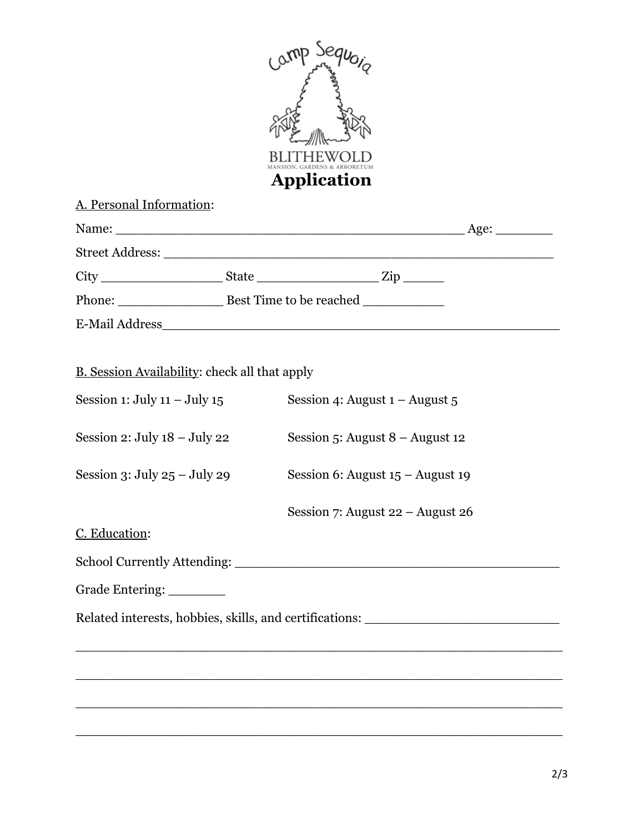

### A. Personal Information:

|                 |                         |                         | Age: $\qquad \qquad$ |
|-----------------|-------------------------|-------------------------|----------------------|
|                 |                         |                         |                      |
|                 |                         | $\overline{\text{Zip}}$ |                      |
|                 | Best Time to be reached |                         |                      |
| E-Mail Address_ |                         |                         |                      |

## B. Session Availability: check all that apply

| Session 4: August $1 -$ August $5$                      |  |  |  |  |  |
|---------------------------------------------------------|--|--|--|--|--|
| Session 5: August $8 -$ August 12                       |  |  |  |  |  |
| Session 6: August $15 -$ August 19                      |  |  |  |  |  |
| Session 7: August $22 -$ August $26$                    |  |  |  |  |  |
|                                                         |  |  |  |  |  |
|                                                         |  |  |  |  |  |
|                                                         |  |  |  |  |  |
| Related interests, hobbies, skills, and certifications: |  |  |  |  |  |
|                                                         |  |  |  |  |  |
|                                                         |  |  |  |  |  |
|                                                         |  |  |  |  |  |
|                                                         |  |  |  |  |  |
|                                                         |  |  |  |  |  |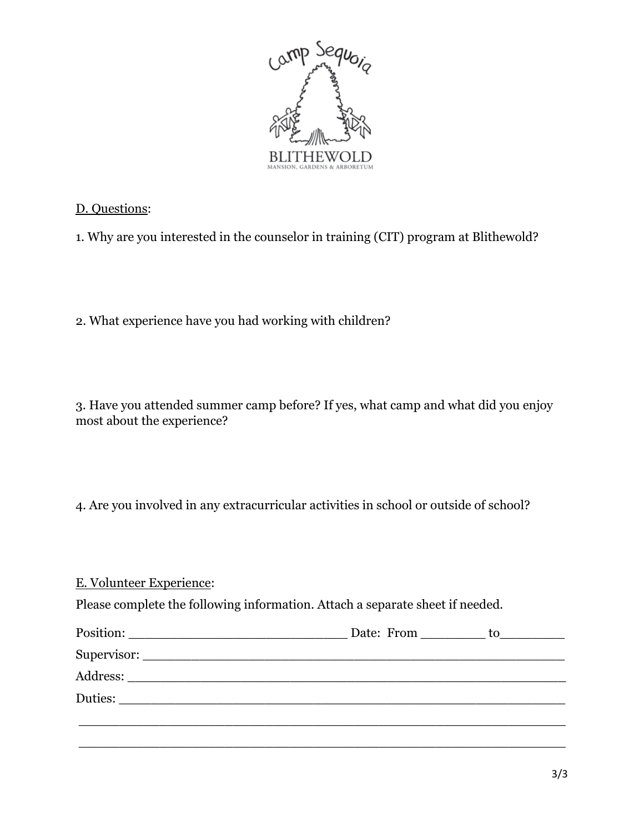

#### D. Questions:

1. Why are you interested in the counselor in training (CIT) program at Blithewold?

2. What experience have you had working with children?

3. Have you attended summer camp before? If yes, what camp and what did you enjoy most about the experience?

4. Are you involved in any extracurricular activities in school or outside of school?

E. Volunteer Experience: Please complete the following information. Attach a separate sheet if needed. Position: \_\_\_\_\_\_\_\_\_\_\_\_\_\_\_\_\_\_\_\_\_\_\_\_\_\_\_ Date: From \_\_\_\_\_\_\_\_ to\_\_\_\_\_\_\_\_ Supervisor: \_\_\_\_\_\_\_\_\_\_\_\_\_\_\_\_\_\_\_\_\_\_\_\_\_\_\_\_\_\_\_\_\_\_\_\_\_\_\_\_\_\_\_\_\_\_\_\_\_\_\_\_ Address: \_\_\_\_\_\_\_\_\_\_\_\_\_\_\_\_\_\_\_\_\_\_\_\_\_\_\_\_\_\_\_\_\_\_\_\_\_\_\_\_\_\_\_\_\_\_\_\_\_\_\_\_\_\_ Duties: \_\_\_\_\_\_\_\_\_\_\_\_\_\_\_\_\_\_\_\_\_\_\_\_\_\_\_\_\_\_\_\_\_\_\_\_\_\_\_\_\_\_\_\_\_\_\_\_\_\_\_\_\_\_\_\_\_\_\_\_ \_\_\_\_\_\_\_\_\_\_\_\_\_\_\_\_\_\_\_\_\_\_\_\_\_\_\_\_\_\_\_\_\_\_\_\_\_\_\_\_\_\_\_\_\_\_\_\_\_\_\_\_\_\_\_\_\_\_\_\_